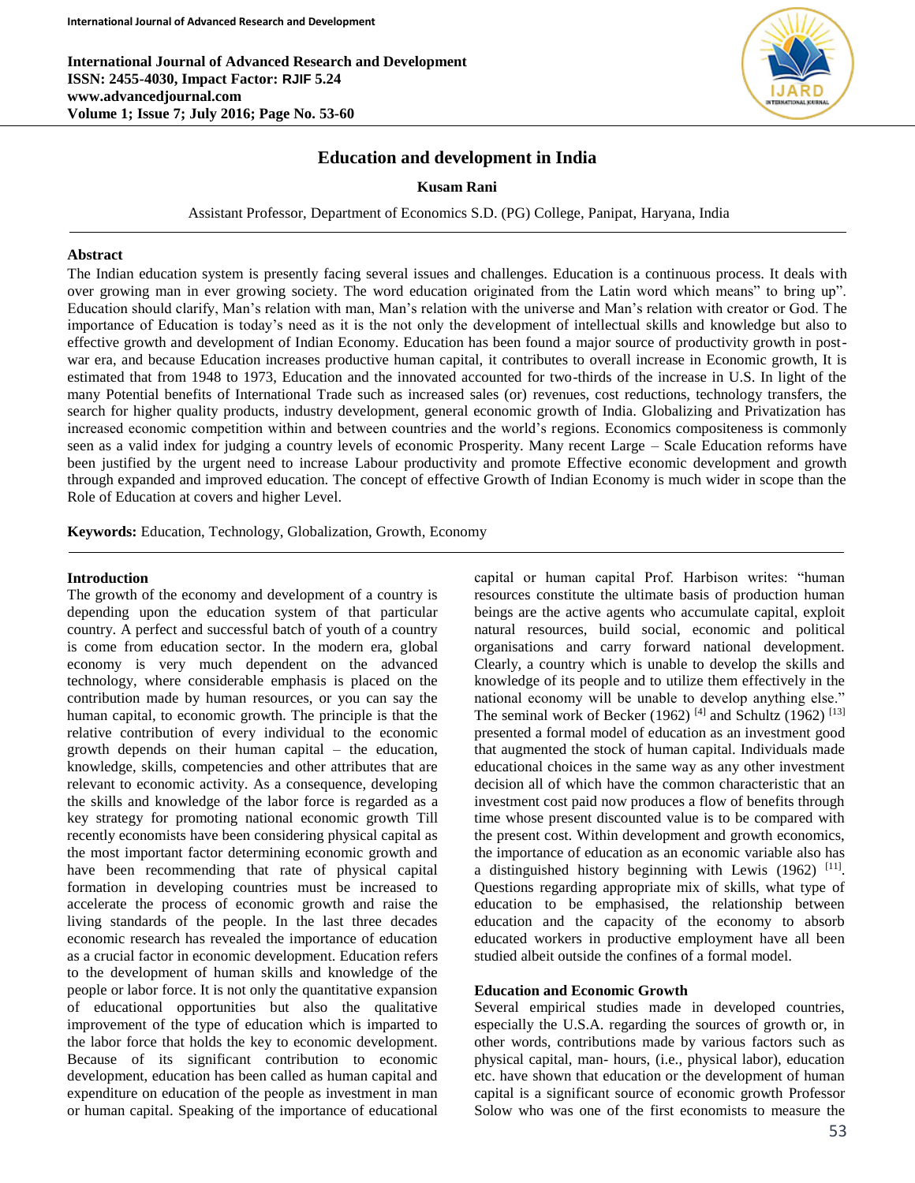**International Journal of Advanced Research and Development ISSN: 2455-4030, Impact Factor: RJIF 5.24 www.advancedjournal.com Volume 1; Issue 7; July 2016; Page No. 53-60**



# **Education and development in India**

### **Kusam Rani**

Assistant Professor, Department of Economics S.D. (PG) College, Panipat, Haryana, India

### **Abstract**

The Indian education system is presently facing several issues and challenges. Education is a continuous process. It deals with over growing man in ever growing society. The word education originated from the Latin word which means" to bring up". Education should clarify, Man's relation with man, Man's relation with the universe and Man's relation with creator or God. The importance of Education is today's need as it is the not only the development of intellectual skills and knowledge but also to effective growth and development of Indian Economy. Education has been found a major source of productivity growth in postwar era, and because Education increases productive human capital, it contributes to overall increase in Economic growth, It is estimated that from 1948 to 1973, Education and the innovated accounted for two-thirds of the increase in U.S. In light of the many Potential benefits of International Trade such as increased sales (or) revenues, cost reductions, technology transfers, the search for higher quality products, industry development, general economic growth of India. Globalizing and Privatization has increased economic competition within and between countries and the world's regions. Economics compositeness is commonly seen as a valid index for judging a country levels of economic Prosperity. Many recent Large – Scale Education reforms have been justified by the urgent need to increase Labour productivity and promote Effective economic development and growth through expanded and improved education. The concept of effective Growth of Indian Economy is much wider in scope than the Role of Education at covers and higher Level.

**Keywords:** Education, Technology, Globalization, Growth, Economy

### **Introduction**

The growth of the economy and development of a country is depending upon the education system of that particular country. A perfect and successful batch of youth of a country is come from education sector. In the modern era, global economy is very much dependent on the advanced technology, where considerable emphasis is placed on the contribution made by human resources, or you can say the human capital, to economic growth. The principle is that the relative contribution of every individual to the economic growth depends on their human capital – the education, knowledge, skills, competencies and other attributes that are relevant to economic activity. As a consequence, developing the skills and knowledge of the labor force is regarded as a key strategy for promoting national economic growth Till recently economists have been considering physical capital as the most important factor determining economic growth and have been recommending that rate of physical capital formation in developing countries must be increased to accelerate the process of economic growth and raise the living standards of the people. In the last three decades economic research has revealed the importance of education as a crucial factor in economic development. Education refers to the development of human skills and knowledge of the people or labor force. It is not only the quantitative expansion of educational opportunities but also the qualitative improvement of the type of education which is imparted to the labor force that holds the key to economic development. Because of its significant contribution to economic development, education has been called as human capital and expenditure on education of the people as investment in man or human capital. Speaking of the importance of educational capital or human capital Prof. Harbison writes: "human resources constitute the ultimate basis of production human beings are the active agents who accumulate capital, exploit natural resources, build social, economic and political organisations and carry forward national development. Clearly, a country which is unable to develop the skills and knowledge of its people and to utilize them effectively in the national economy will be unable to develop anything else." The seminal work of Becker (1962)<sup>[4]</sup> and Schultz (1962)<sup>[13]</sup> presented a formal model of education as an investment good that augmented the stock of human capital. Individuals made educational choices in the same way as any other investment decision all of which have the common characteristic that an investment cost paid now produces a flow of benefits through time whose present discounted value is to be compared with the present cost. Within development and growth economics, the importance of education as an economic variable also has a distinguished history beginning with Lewis (1962) <sup>[11]</sup>. Questions regarding appropriate mix of skills, what type of education to be emphasised, the relationship between education and the capacity of the economy to absorb educated workers in productive employment have all been studied albeit outside the confines of a formal model.

### **Education and Economic Growth**

Several empirical studies made in developed countries, especially the U.S.A. regarding the sources of growth or, in other words, contributions made by various factors such as physical capital, man- hours, (i.e., physical labor), education etc. have shown that education or the development of human capital is a significant source of economic growth Professor Solow who was one of the first economists to measure the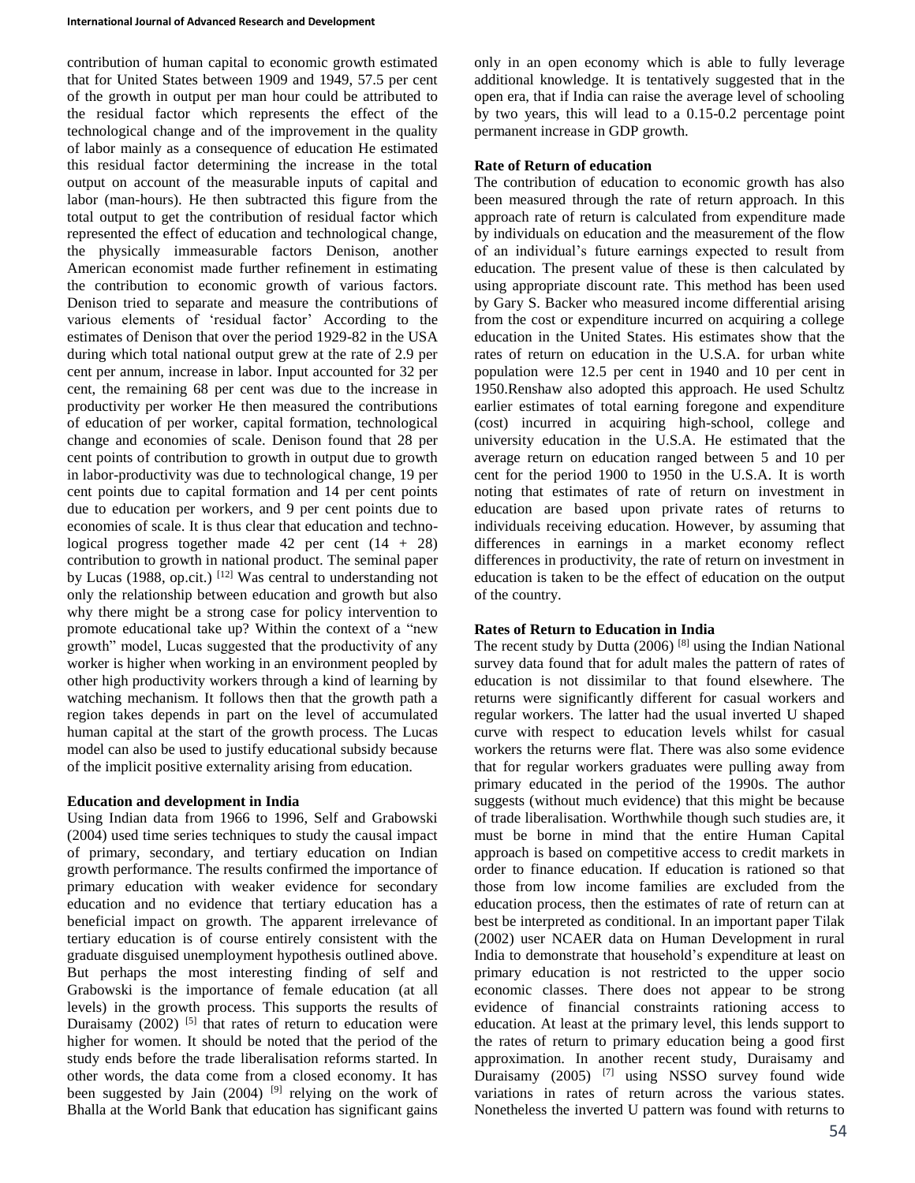contribution of human capital to economic growth estimated that for United States between 1909 and 1949, 57.5 per cent of the growth in output per man hour could be attributed to the residual factor which represents the effect of the technological change and of the improvement in the quality of labor mainly as a consequence of education He estimated this residual factor determining the increase in the total output on account of the measurable inputs of capital and labor (man-hours). He then subtracted this figure from the total output to get the contribution of residual factor which represented the effect of education and technological change, the physically immeasurable factors Denison, another American economist made further refinement in estimating the contribution to economic growth of various factors. Denison tried to separate and measure the contributions of various elements of 'residual factor' According to the estimates of Denison that over the period 1929-82 in the USA during which total national output grew at the rate of 2.9 per cent per annum, increase in labor. Input accounted for 32 per cent, the remaining 68 per cent was due to the increase in productivity per worker He then measured the contributions of education of per worker, capital formation, technological change and economies of scale. Denison found that 28 per cent points of contribution to growth in output due to growth in labor-productivity was due to technological change, 19 per cent points due to capital formation and 14 per cent points due to education per workers, and 9 per cent points due to economies of scale. It is thus clear that education and technological progress together made 42 per cent  $(14 + 28)$ contribution to growth in national product. The seminal paper by Lucas (1988, op.cit.)  $^{[12]}$  Was central to understanding not only the relationship between education and growth but also why there might be a strong case for policy intervention to promote educational take up? Within the context of a "new growth" model, Lucas suggested that the productivity of any worker is higher when working in an environment peopled by other high productivity workers through a kind of learning by watching mechanism. It follows then that the growth path a region takes depends in part on the level of accumulated human capital at the start of the growth process. The Lucas model can also be used to justify educational subsidy because of the implicit positive externality arising from education.

# **Education and development in India**

Using Indian data from 1966 to 1996, Self and Grabowski (2004) used time series techniques to study the causal impact of primary, secondary, and tertiary education on Indian growth performance. The results confirmed the importance of primary education with weaker evidence for secondary education and no evidence that tertiary education has a beneficial impact on growth. The apparent irrelevance of tertiary education is of course entirely consistent with the graduate disguised unemployment hypothesis outlined above. But perhaps the most interesting finding of self and Grabowski is the importance of female education (at all levels) in the growth process. This supports the results of Duraisamy  $(2002)$  <sup>[5]</sup> that rates of return to education were higher for women. It should be noted that the period of the study ends before the trade liberalisation reforms started. In other words, the data come from a closed economy. It has been suggested by Jain  $(2004)$ <sup>[9]</sup> relying on the work of Bhalla at the World Bank that education has significant gains

only in an open economy which is able to fully leverage additional knowledge. It is tentatively suggested that in the open era, that if India can raise the average level of schooling by two years, this will lead to a 0.15-0.2 percentage point permanent increase in GDP growth.

### **Rate of Return of education**

The contribution of education to economic growth has also been measured through the rate of return approach. In this approach rate of return is calculated from expenditure made by individuals on education and the measurement of the flow of an individual's future earnings expected to result from education. The present value of these is then calculated by using appropriate discount rate. This method has been used by Gary S. Backer who measured income differential arising from the cost or expenditure incurred on acquiring a college education in the United States. His estimates show that the rates of return on education in the U.S.A. for urban white population were 12.5 per cent in 1940 and 10 per cent in 1950.Renshaw also adopted this approach. He used Schultz earlier estimates of total earning foregone and expenditure (cost) incurred in acquiring high-school, college and university education in the U.S.A. He estimated that the average return on education ranged between 5 and 10 per cent for the period 1900 to 1950 in the U.S.A. It is worth noting that estimates of rate of return on investment in education are based upon private rates of returns to individuals receiving education. However, by assuming that differences in earnings in a market economy reflect differences in productivity, the rate of return on investment in education is taken to be the effect of education on the output of the country.

# **Rates of Return to Education in India**

The recent study by Dutta  $(2006)$ <sup>[8]</sup> using the Indian National survey data found that for adult males the pattern of rates of education is not dissimilar to that found elsewhere. The returns were significantly different for casual workers and regular workers. The latter had the usual inverted U shaped curve with respect to education levels whilst for casual workers the returns were flat. There was also some evidence that for regular workers graduates were pulling away from primary educated in the period of the 1990s. The author suggests (without much evidence) that this might be because of trade liberalisation. Worthwhile though such studies are, it must be borne in mind that the entire Human Capital approach is based on competitive access to credit markets in order to finance education. If education is rationed so that those from low income families are excluded from the education process, then the estimates of rate of return can at best be interpreted as conditional. In an important paper Tilak (2002) user NCAER data on Human Development in rural India to demonstrate that household's expenditure at least on primary education is not restricted to the upper socio economic classes. There does not appear to be strong evidence of financial constraints rationing access to education. At least at the primary level, this lends support to the rates of return to primary education being a good first approximation. In another recent study, Duraisamy and Duraisamy  $(2005)$  <sup>[7]</sup> using NSSO survey found wide variations in rates of return across the various states. Nonetheless the inverted U pattern was found with returns to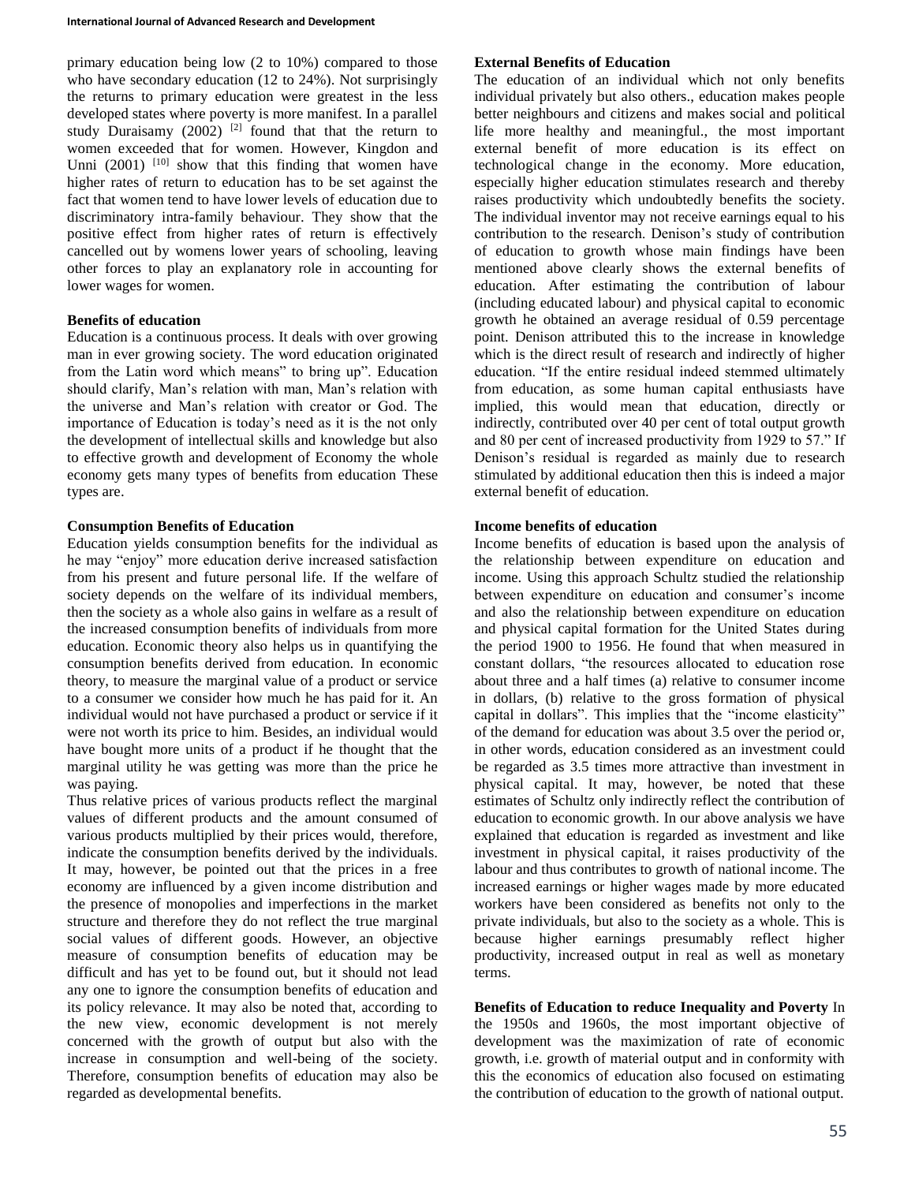primary education being low (2 to 10%) compared to those who have secondary education (12 to 24%). Not surprisingly the returns to primary education were greatest in the less developed states where poverty is more manifest. In a parallel study Duraisamy  $(2002)$ <sup>[2]</sup> found that that the return to women exceeded that for women. However, Kingdon and Unni  $(2001)$  <sup>[10]</sup> show that this finding that women have higher rates of return to education has to be set against the fact that women tend to have lower levels of education due to discriminatory intra-family behaviour. They show that the positive effect from higher rates of return is effectively cancelled out by womens lower years of schooling, leaving other forces to play an explanatory role in accounting for lower wages for women.

## **Benefits of education**

Education is a continuous process. It deals with over growing man in ever growing society. The word education originated from the Latin word which means" to bring up". Education should clarify, Man's relation with man, Man's relation with the universe and Man's relation with creator or God. The importance of Education is today's need as it is the not only the development of intellectual skills and knowledge but also to effective growth and development of Economy the whole economy gets many types of benefits from education These types are.

## **Consumption Benefits of Education**

Education yields consumption benefits for the individual as he may "enjoy" more education derive increased satisfaction from his present and future personal life. If the welfare of society depends on the welfare of its individual members, then the society as a whole also gains in welfare as a result of the increased consumption benefits of individuals from more education. Economic theory also helps us in quantifying the consumption benefits derived from education. In economic theory, to measure the marginal value of a product or service to a consumer we consider how much he has paid for it. An individual would not have purchased a product or service if it were not worth its price to him. Besides, an individual would have bought more units of a product if he thought that the marginal utility he was getting was more than the price he was paying.

Thus relative prices of various products reflect the marginal values of different products and the amount consumed of various products multiplied by their prices would, therefore, indicate the consumption benefits derived by the individuals. It may, however, be pointed out that the prices in a free economy are influenced by a given income distribution and the presence of monopolies and imperfections in the market structure and therefore they do not reflect the true marginal social values of different goods. However, an objective measure of consumption benefits of education may be difficult and has yet to be found out, but it should not lead any one to ignore the consumption benefits of education and its policy relevance. It may also be noted that, according to the new view, economic development is not merely concerned with the growth of output but also with the increase in consumption and well-being of the society. Therefore, consumption benefits of education may also be regarded as developmental benefits.

### **External Benefits of Education**

The education of an individual which not only benefits individual privately but also others., education makes people better neighbours and citizens and makes social and political life more healthy and meaningful., the most important external benefit of more education is its effect on technological change in the economy. More education, especially higher education stimulates research and thereby raises productivity which undoubtedly benefits the society. The individual inventor may not receive earnings equal to his contribution to the research. Denison's study of contribution of education to growth whose main findings have been mentioned above clearly shows the external benefits of education. After estimating the contribution of labour (including educated labour) and physical capital to economic growth he obtained an average residual of 0.59 percentage point. Denison attributed this to the increase in knowledge which is the direct result of research and indirectly of higher education. "If the entire residual indeed stemmed ultimately from education, as some human capital enthusiasts have implied, this would mean that education, directly or indirectly, contributed over 40 per cent of total output growth and 80 per cent of increased productivity from 1929 to 57." If Denison's residual is regarded as mainly due to research stimulated by additional education then this is indeed a major external benefit of education.

### **Income benefits of education**

Income benefits of education is based upon the analysis of the relationship between expenditure on education and income. Using this approach Schultz studied the relationship between expenditure on education and consumer's income and also the relationship between expenditure on education and physical capital formation for the United States during the period 1900 to 1956. He found that when measured in constant dollars, "the resources allocated to education rose about three and a half times (a) relative to consumer income in dollars, (b) relative to the gross formation of physical capital in dollars". This implies that the "income elasticity" of the demand for education was about 3.5 over the period or, in other words, education considered as an investment could be regarded as 3.5 times more attractive than investment in physical capital. It may, however, be noted that these estimates of Schultz only indirectly reflect the contribution of education to economic growth. In our above analysis we have explained that education is regarded as investment and like investment in physical capital, it raises productivity of the labour and thus contributes to growth of national income. The increased earnings or higher wages made by more educated workers have been considered as benefits not only to the private individuals, but also to the society as a whole. This is because higher earnings presumably reflect higher productivity, increased output in real as well as monetary terms.

**Benefits of Education to reduce Inequality and Poverty** In the 1950s and 1960s, the most important objective of development was the maximization of rate of economic growth, i.e. growth of material output and in conformity with this the economics of education also focused on estimating the contribution of education to the growth of national output.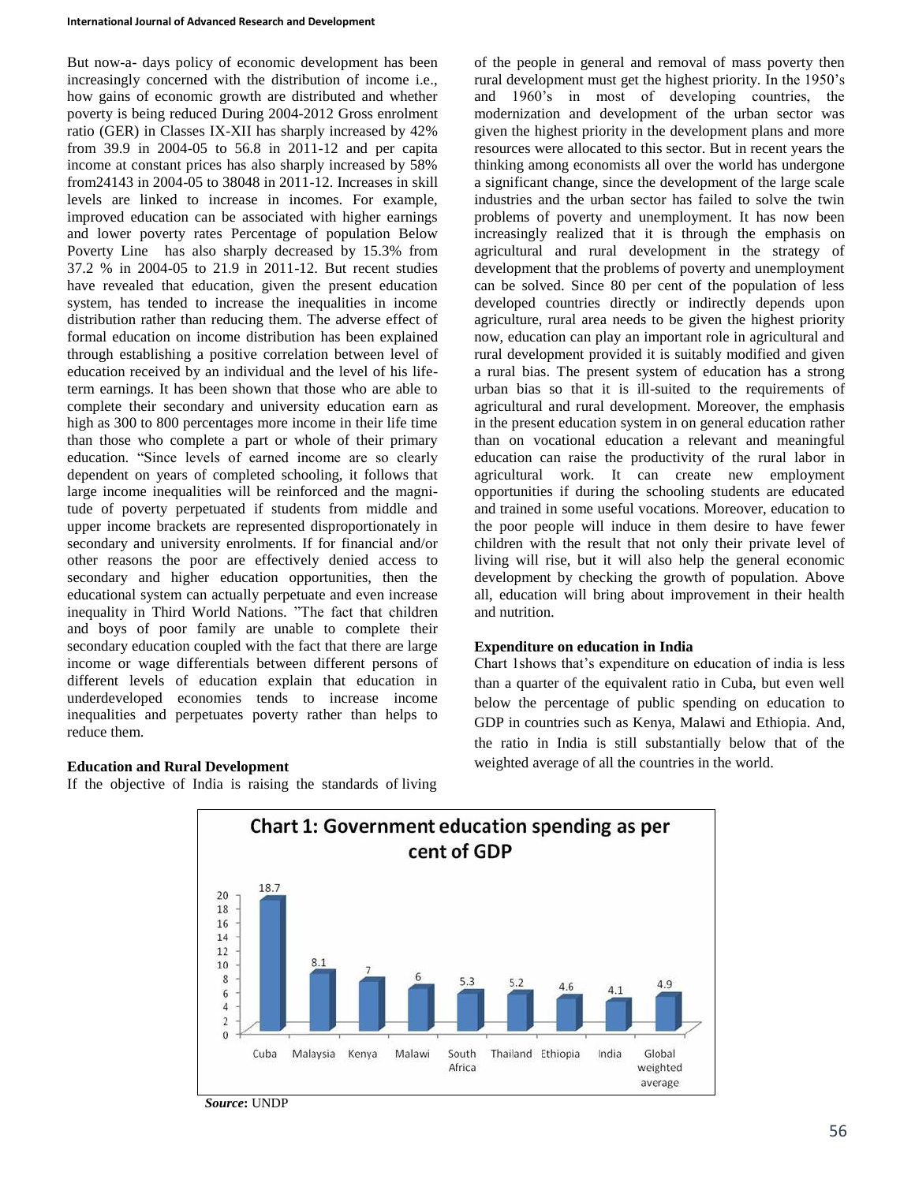#### **International Journal of Advanced Research and Development**

But now-a- days policy of economic development has been increasingly concerned with the distribution of income i.e., how gains of economic growth are distributed and whether poverty is being reduced During 2004-2012 Gross enrolment ratio (GER) in Classes IX-XII has sharply increased by 42% from 39.9 in 2004-05 to 56.8 in 2011-12 and per capita income at constant prices has also sharply increased by 58% from24143 in 2004-05 to 38048 in 2011-12. Increases in skill levels are linked to increase in incomes. For example, improved education can be associated with higher earnings and lower poverty rates Percentage of population Below Poverty Line has also sharply decreased by 15.3% from 37.2 % in 2004-05 to 21.9 in 2011-12. But recent studies have revealed that education, given the present education system, has tended to increase the inequalities in income distribution rather than reducing them. The adverse effect of formal education on income distribution has been explained through establishing a positive correlation between level of education received by an individual and the level of his lifeterm earnings. It has been shown that those who are able to complete their secondary and university education earn as high as 300 to 800 percentages more income in their life time than those who complete a part or whole of their primary education. "Since levels of earned income are so clearly dependent on years of completed schooling, it follows that large income inequalities will be reinforced and the magnitude of poverty perpetuated if students from middle and upper income brackets are represented disproportionately in secondary and university enrolments. If for financial and/or other reasons the poor are effectively denied access to secondary and higher education opportunities, then the educational system can actually perpetuate and even increase inequality in Third World Nations. "The fact that children and boys of poor family are unable to complete their secondary education coupled with the fact that there are large income or wage differentials between different persons of different levels of education explain that education in underdeveloped economies tends to increase income inequalities and perpetuates poverty rather than helps to reduce them.

# **Education and Rural Development**

If the objective of India is raising the standards of living

of the people in general and removal of mass poverty then rural development must get the highest priority. In the 1950's and 1960's in most of developing countries, the modernization and development of the urban sector was given the highest priority in the development plans and more resources were allocated to this sector. But in recent years the thinking among economists all over the world has undergone a significant change, since the development of the large scale industries and the urban sector has failed to solve the twin problems of poverty and unemployment. It has now been increasingly realized that it is through the emphasis on agricultural and rural development in the strategy of development that the problems of poverty and unemployment can be solved. Since 80 per cent of the population of less developed countries directly or indirectly depends upon agriculture, rural area needs to be given the highest priority now, education can play an important role in agricultural and rural development provided it is suitably modified and given a rural bias. The present system of education has a strong urban bias so that it is ill-suited to the requirements of agricultural and rural development. Moreover, the emphasis in the present education system in on general education rather than on vocational education a relevant and meaningful education can raise the productivity of the rural labor in agricultural work. It can create new employment opportunities if during the schooling students are educated and trained in some useful vocations. Moreover, education to the poor people will induce in them desire to have fewer children with the result that not only their private level of living will rise, but it will also help the general economic development by checking the growth of population. Above all, education will bring about improvement in their health and nutrition.

### **Expenditure on education in India**

Chart 1shows that's expenditure on education of india is less than a quarter of the equivalent ratio in Cuba, but even well below the percentage of public spending on education to GDP in countries such as Kenya, Malawi and Ethiopia. And, the ratio in India is still substantially below that of the weighted average of all the countries in the world.



*Source***:** UNDP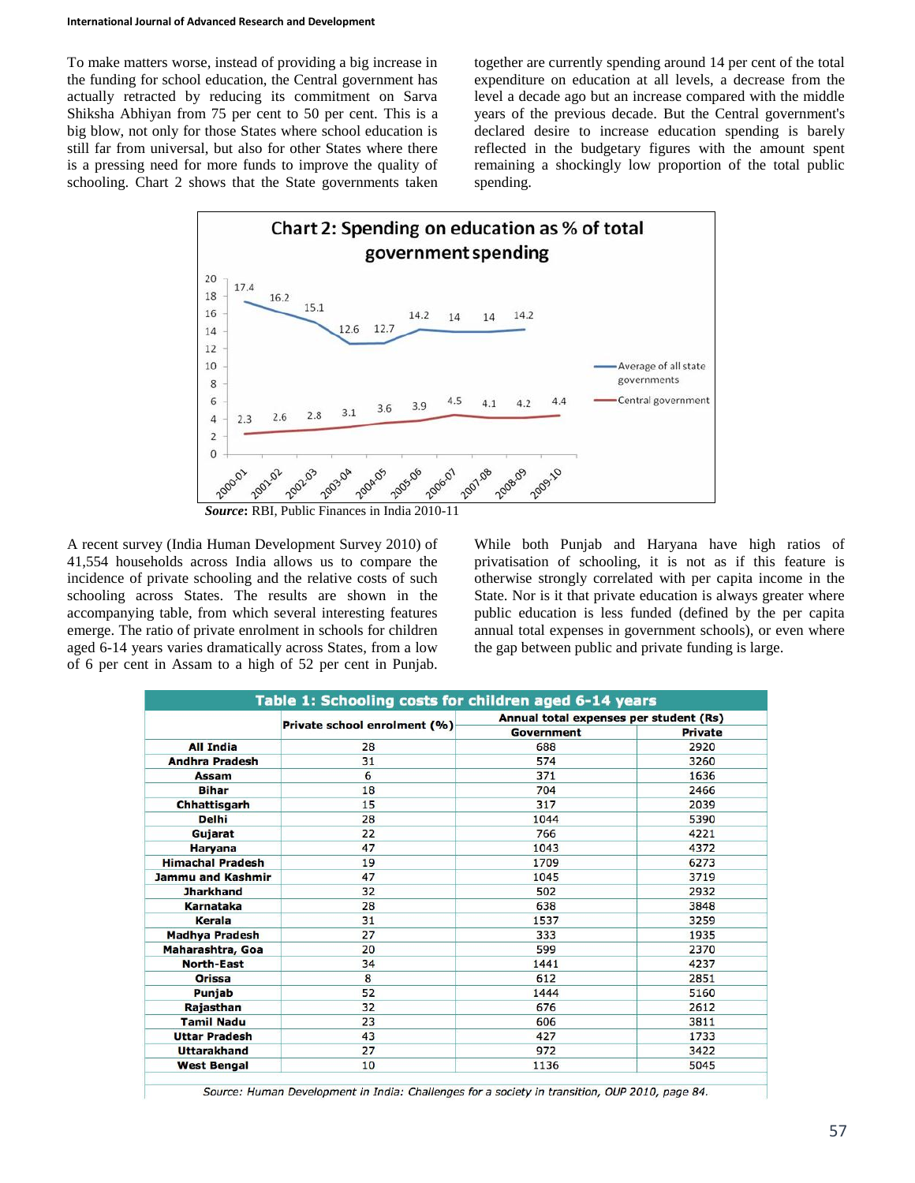To make matters worse, instead of providing a big increase in the funding for school education, the Central government has actually retracted by reducing its commitment on Sarva Shiksha Abhiyan from 75 per cent to 50 per cent. This is a big blow, not only for those States where school education is still far from universal, but also for other States where there is a pressing need for more funds to improve the quality of schooling. Chart 2 shows that the State governments taken

together are currently spending around 14 per cent of the total expenditure on education at all levels, a decrease from the level a decade ago but an increase compared with the middle years of the previous decade. But the Central government's declared desire to increase education spending is barely reflected in the budgetary figures with the amount spent remaining a shockingly low proportion of the total public spending.



A recent survey (India Human Development Survey 2010) of

41,554 households across India allows us to compare the incidence of private schooling and the relative costs of such schooling across States. The results are shown in the accompanying table, from which several interesting features emerge. The ratio of private enrolment in schools for children aged 6-14 years varies dramatically across States, from a low of 6 per cent in Assam to a high of 52 per cent in Punjab.

While both Punjab and Haryana have high ratios of privatisation of schooling, it is not as if this feature is otherwise strongly correlated with per capita income in the State. Nor is it that private education is always greater where public education is less funded (defined by the per capita annual total expenses in government schools), or even where the gap between public and private funding is large.

|                         |                              | Annual total expenses per student (Rs) |                |  |  |  |
|-------------------------|------------------------------|----------------------------------------|----------------|--|--|--|
|                         | Private school enrolment (%) | Government                             | <b>Private</b> |  |  |  |
| <b>All India</b>        | 28                           | 688                                    | 2920           |  |  |  |
| <b>Andhra Pradesh</b>   | 31                           | 574                                    | 3260           |  |  |  |
| <b>Assam</b>            | 6                            | 371                                    | 1636           |  |  |  |
| <b>Bihar</b>            | 18                           | 704                                    | 2466           |  |  |  |
| Chhattisgarh            | 15                           | 317                                    | 2039           |  |  |  |
| <b>Delhi</b>            | 28                           | 1044                                   | 5390           |  |  |  |
| Gujarat                 | 22                           | 766                                    | 4221           |  |  |  |
| <b>Haryana</b>          | 47                           | 1043                                   | 4372           |  |  |  |
| <b>Himachal Pradesh</b> | 19                           | 1709                                   | 6273           |  |  |  |
| Jammu and Kashmir       | 47                           | 1045                                   | 3719           |  |  |  |
| <b>Jharkhand</b>        | 32                           | 502                                    | 2932           |  |  |  |
| <b>Karnataka</b>        | 28                           | 638                                    | 3848           |  |  |  |
| Kerala                  | 31                           | 1537                                   | 3259           |  |  |  |
| <b>Madhya Pradesh</b>   | 27                           | 333                                    | 1935           |  |  |  |
| Maharashtra, Goa        | 20                           | 599                                    | 2370           |  |  |  |
| North-East              | 34                           | 1441                                   | 4237           |  |  |  |
| Orissa                  | 8                            | 612                                    | 2851           |  |  |  |
| Punjab                  | 52                           | 1444                                   | 5160           |  |  |  |
| Rajasthan               | 32                           | 676                                    | 2612           |  |  |  |
| <b>Tamil Nadu</b>       | 23                           | 606                                    | 3811           |  |  |  |
| <b>Uttar Pradesh</b>    | 43                           | 427                                    | 1733           |  |  |  |
| <b>Uttarakhand</b>      | 27                           | 972                                    | 3422           |  |  |  |
| <b>West Bengal</b>      | 10                           | 1136                                   | 5045           |  |  |  |

Source: Human Development in India: Challenges for a society in transition, OUP 2010, page 84.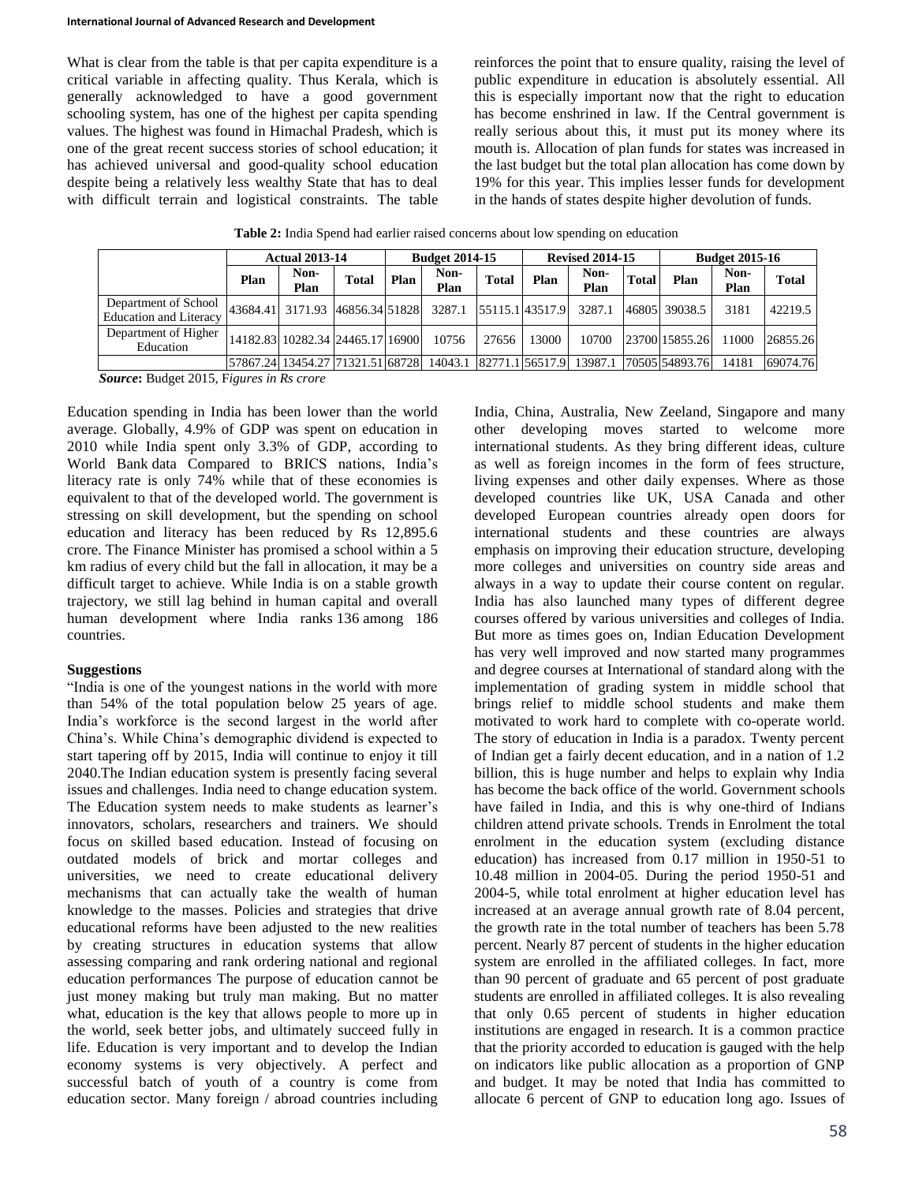What is clear from the table is that per capita expenditure is a critical variable in affecting quality. Thus Kerala, which is generally acknowledged to have a good government schooling system, has one of the highest per capita spending values. The highest was found in Himachal Pradesh, which is one of the great recent success stories of school education; it has achieved universal and good-quality school education despite being a relatively less wealthy State that has to deal with difficult terrain and logistical constraints. The table

reinforces the point that to ensure quality, raising the level of public expenditure in education is absolutely essential. All this is especially important now that the right to education has become enshrined in law. If the Central government is really serious about this, it must put its money where its mouth is. Allocation of plan funds for states was increased in the last budget but the total plan allocation has come down by 19% for this year. This implies lesser funds for development in the hands of states despite higher devolution of funds.

| Table 2: India Spend had earlier raised concerns about low spending on education |  |  |
|----------------------------------------------------------------------------------|--|--|
|----------------------------------------------------------------------------------|--|--|

|                                                       | <b>Actual 2013-14</b> |                                  | <b>Budget 2014-15</b> |      | <b>Revised 2014-15</b> |              |                 | <b>Budget 2015-16</b>           |              |                 |              |              |
|-------------------------------------------------------|-----------------------|----------------------------------|-----------------------|------|------------------------|--------------|-----------------|---------------------------------|--------------|-----------------|--------------|--------------|
|                                                       | Plan                  | Non-<br>Plan                     | Total                 | Plan | Non-<br>Plan           | <b>Total</b> | Plan            | Non-<br>Plan                    | <b>Total</b> | Plan            | Non-<br>Plan | <b>Total</b> |
| Department of School<br><b>Education and Literacy</b> |                       | 43684.41 3171.93 46856.34 51828  |                       |      | 3287.1                 |              | 55115.1 43517.9 | 3287.1                          |              | 46805 39038.5   | 3181         | 42219.5      |
| Department of Higher<br>Education                     |                       | 14182.83 10282.34 24465.17 16900 |                       |      | 10756                  | 27656        | 13000           | 10700                           |              | 23700 15855.26  | 11000        | 26855.26     |
|                                                       |                       | 57867.24 13454.27 71321.51 68728 |                       |      |                        |              |                 | 14043.1 82771.1 56517.9 13987.1 |              | 170505154893.76 | 14181        | 69074.76     |

*Source***:** Budget 2015, F*igures in Rs crore*

Education spending in India has been lower than the world average. Globally, 4.9% of GDP was spent on education in 2010 while India spent only 3.3% of GDP, according to World Bank data Compared to BRICS nations, India's literacy rate is only 74% while that of these economies is equivalent to that of the developed world. The government is stressing on skill development, but the spending on school education and literacy has been reduced by Rs 12,895.6 crore. The Finance Minister has promised a school within a 5 km radius of every child but the fall in allocation, it may be a difficult target to achieve. While India is on a stable growth trajectory, we still lag behind in human capital and overall human development where India ranks 136 among 186 countries.

### **Suggestions**

"India is one of the youngest nations in the world with more than 54% of the total population below 25 years of age. India's workforce is the second largest in the world after China's. While China's demographic dividend is expected to start tapering off by 2015, India will continue to enjoy it till 2040.The Indian education system is presently facing several issues and challenges. India need to change education system. The Education system needs to make students as learner's innovators, scholars, researchers and trainers. We should focus on skilled based education. Instead of focusing on outdated models of brick and mortar colleges and universities, we need to create educational delivery mechanisms that can actually take the wealth of human knowledge to the masses. Policies and strategies that drive educational reforms have been adjusted to the new realities by creating structures in education systems that allow assessing comparing and rank ordering national and regional education performances The purpose of education cannot be just money making but truly man making. But no matter what, education is the key that allows people to more up in the world, seek better jobs, and ultimately succeed fully in life. Education is very important and to develop the Indian economy systems is very objectively. A perfect and successful batch of youth of a country is come from education sector. Many foreign / abroad countries including

India, China, Australia, New Zeeland, Singapore and many other developing moves started to welcome more international students. As they bring different ideas, culture as well as foreign incomes in the form of fees structure, living expenses and other daily expenses. Where as those developed countries like UK, USA Canada and other developed European countries already open doors for international students and these countries are always emphasis on improving their education structure, developing more colleges and universities on country side areas and always in a way to update their course content on regular. India has also launched many types of different degree courses offered by various universities and colleges of India. But more as times goes on, Indian Education Development has very well improved and now started many programmes and degree courses at International of standard along with the implementation of grading system in middle school that brings relief to middle school students and make them motivated to work hard to complete with co-operate world. The story of education in India is a paradox. Twenty percent of Indian get a fairly decent education, and in a nation of 1.2 billion, this is huge number and helps to explain why India has become the back office of the world. Government schools have failed in India, and this is why one-third of Indians children attend private schools. Trends in Enrolment the total enrolment in the education system (excluding distance education) has increased from 0.17 million in 1950-51 to 10.48 million in 2004-05. During the period 1950-51 and 2004-5, while total enrolment at higher education level has increased at an average annual growth rate of 8.04 percent, the growth rate in the total number of teachers has been 5.78 percent. Nearly 87 percent of students in the higher education system are enrolled in the affiliated colleges. In fact, more than 90 percent of graduate and 65 percent of post graduate students are enrolled in affiliated colleges. It is also revealing that only 0.65 percent of students in higher education institutions are engaged in research. It is a common practice that the priority accorded to education is gauged with the help on indicators like public allocation as a proportion of GNP and budget. It may be noted that India has committed to allocate 6 percent of GNP to education long ago. Issues of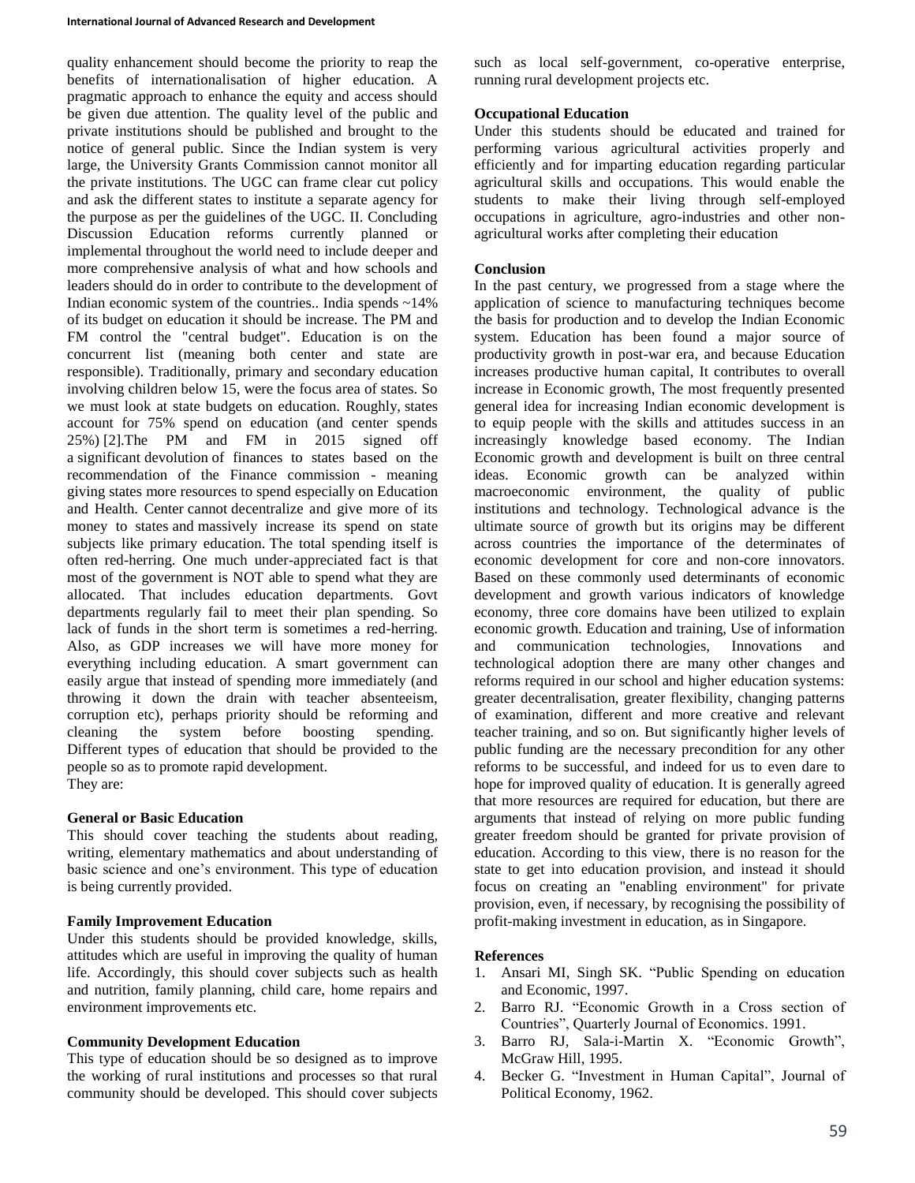quality enhancement should become the priority to reap the benefits of internationalisation of higher education. A pragmatic approach to enhance the equity and access should be given due attention. The quality level of the public and private institutions should be published and brought to the notice of general public. Since the Indian system is very large, the University Grants Commission cannot monitor all the private institutions. The UGC can frame clear cut policy and ask the different states to institute a separate agency for the purpose as per the guidelines of the UGC. II. Concluding Discussion Education reforms currently planned or implemental throughout the world need to include deeper and more comprehensive analysis of what and how schools and leaders should do in order to contribute to the development of Indian economic system of the countries.. India spends ~14% of its budget on education it should be increase. The PM and FM control the "central budget". Education is on the concurrent list (meaning both center and state are responsible). Traditionally, primary and secondary education involving children below 15, were the focus area of states. So we must look at state budgets on education. Roughly, states account for 75% spend on education (and center spends 25%) [2].The PM and FM in 2015 signed off a significant devolution of finances to states based on the recommendation of the Finance commission - meaning giving states more resources to spend especially on Education and Health. Center cannot decentralize and give more of its money to states and massively increase its spend on state subjects like primary education. The total spending itself is often red-herring. One much under-appreciated fact is that most of the government is NOT able to spend what they are allocated. That includes education departments. Govt departments regularly fail to meet their plan spending. So lack of funds in the short term is sometimes a red-herring. Also, as GDP increases we will have more money for everything including education. A smart government can easily argue that instead of spending more immediately (and throwing it down the drain with teacher absenteeism, corruption etc), perhaps priority should be reforming and cleaning the system before boosting spending. Different types of education that should be provided to the people so as to promote rapid development. They are:

# **General or Basic Education**

This should cover teaching the students about reading, writing, elementary mathematics and about understanding of basic science and one's environment. This type of education is being currently provided.

# **Family Improvement Education**

Under this students should be provided knowledge, skills, attitudes which are useful in improving the quality of human life. Accordingly, this should cover subjects such as health and nutrition, family planning, child care, home repairs and environment improvements etc.

### **Community Development Education**

This type of education should be so designed as to improve the working of rural institutions and processes so that rural community should be developed. This should cover subjects such as local self-government, co-operative enterprise, running rural development projects etc.

# **Occupational Education**

Under this students should be educated and trained for performing various agricultural activities properly and efficiently and for imparting education regarding particular agricultural skills and occupations. This would enable the students to make their living through self-employed occupations in agriculture, agro-industries and other nonagricultural works after completing their education

# **Conclusion**

In the past century, we progressed from a stage where the application of science to manufacturing techniques become the basis for production and to develop the Indian Economic system. Education has been found a major source of productivity growth in post-war era, and because Education increases productive human capital, It contributes to overall increase in Economic growth, The most frequently presented general idea for increasing Indian economic development is to equip people with the skills and attitudes success in an increasingly knowledge based economy. The Indian Economic growth and development is built on three central ideas. Economic growth can be analyzed within macroeconomic environment, the quality of public institutions and technology. Technological advance is the ultimate source of growth but its origins may be different across countries the importance of the determinates of economic development for core and non-core innovators. Based on these commonly used determinants of economic development and growth various indicators of knowledge economy, three core domains have been utilized to explain economic growth. Education and training, Use of information and communication technologies, Innovations and technological adoption there are many other changes and reforms required in our school and higher education systems: greater decentralisation, greater flexibility, changing patterns of examination, different and more creative and relevant teacher training, and so on. But significantly higher levels of public funding are the necessary precondition for any other reforms to be successful, and indeed for us to even dare to hope for improved quality of education. It is generally agreed that more resources are required for education, but there are arguments that instead of relying on more public funding greater freedom should be granted for private provision of education. According to this view, there is no reason for the state to get into education provision, and instead it should focus on creating an "enabling environment" for private provision, even, if necessary, by recognising the possibility of profit-making investment in education, as in Singapore.

# **References**

- 1. Ansari MI, Singh SK. "Public Spending on education and Economic, 1997.
- 2. Barro RJ. "Economic Growth in a Cross section of Countries", Quarterly Journal of Economics. 1991.
- 3. Barro RJ, Sala-i-Martin X. "Economic Growth", McGraw Hill, 1995.
- 4. Becker G. "Investment in Human Capital", Journal of Political Economy, 1962.